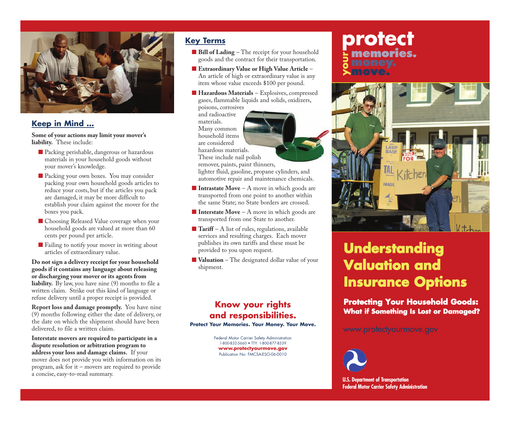

### **Keep in Mind …**

**Some of your actions may limit your mover's liability.** These include:

- Packing perishable, dangerous or hazardous materials in your household goods without your mover's knowledge.
- Packing your own boxes. You may consider packing your own household goods articles to reduce your costs, but if the articles you pack are damaged, it may be more difficult to establish your claim against the mover for the boxes you pack.
- Choosing Released Value coverage when your household goods are valued at more than 60 cents per pound per article.
- Failing to notify your mover in writing about articles of extraordinary value.

**Do not sign a delivery receipt for your household goods if it contains any language about releasing or discharging your mover or its agents from liability.** By law, you have nine (9) months to file a written claim. Strike out this kind of language or refuse delivery until a proper receipt is provided.

**Report loss and damage promptly.** You have nine (9) months following either the date of delivery, or the date on which the shipment should have been delivered, to file a written claim.

**Interstate movers are required to participate in a dispute resolution or arbitration program to address your loss and damage claims.** If your mover does not provide you with information on its program, ask for it – movers are required to provide a concise, easy-to-read summary.

## **Key Terms**

- **Bill of Lading** The receipt for your household goods and the contract for their transportation.
- **Extraordinary Value or High Value Article** An article of high or extraordinary value is any item whose value exceeds \$100 per pound.
- **Hazardous Materials** Explosives, compressed gases, flammable liquids and solids, oxidizers,

poisons, corrosives and radioactive materials. Many common household items are considered hazardous materials. These include nail polish



remover, paints, paint thinners,

lighter fluid, gasoline, propane cylinders, and automotive repair and maintenance chemicals.

- **Intrastate Move** A move in which goods are transported from one point to another within the same State; no State borders are crossed.
- **Interstate Move** A move in which goods are transported from one State to another.
- **Tariff** A list of rules, regulations, available services and resulting charges. Each mover publishes its own tariffs and these must be provided to you upon request.
- **Valuation** The designated dollar value of your shipment.

# **Know your rights and responsibilities.**

**Protect Your Memories. Your Money. Your Move.**

Federal Motor Carrier Safety Administration 1-800-832-5660 • TTY: 1-800-877-8339 **www.protectyourmove.gov** Publication No: FMCSA-ESO-06-0010

# **memories. move. protect your**



# **Understanding Valuation and Insurance Options**

**Protecting Your Household Goods: What if Something Is Lost or Damaged?**

www.protectyourmove.gov



**U.S. Department of Transportation Federal Motor Carrier Safety Administration**